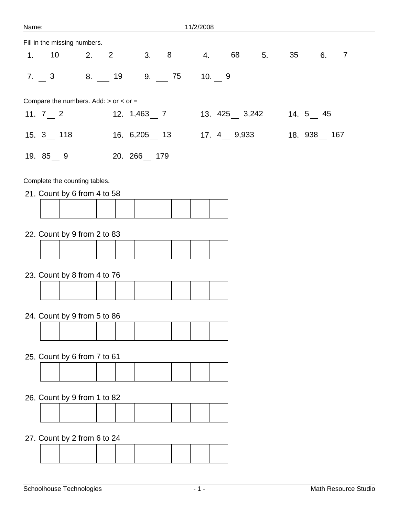| Name:                                       | 11/2/2008                                                                                                          |
|---------------------------------------------|--------------------------------------------------------------------------------------------------------------------|
| Fill in the missing numbers.                |                                                                                                                    |
|                                             | 1. 10 2. 2 3. 8 4. 68 5. 35 6. 7                                                                                   |
| $7.$ 3 8. 19 9. 75 10. 9                    |                                                                                                                    |
| Compare the numbers. Add: $>$ or $<$ or $=$ |                                                                                                                    |
|                                             | 11. $7 \nightharpoonup 2$ 12. $1,463 \nightharpoonup 7$ 13. $425 \nightharpoonup 3,242$ 14. $5 \nightharpoonup 45$ |
|                                             |                                                                                                                    |
| 19. 85 9 20. 266 179                        |                                                                                                                    |
| Complete the counting tables.               |                                                                                                                    |
| 21. Count by 6 from 4 to 58                 |                                                                                                                    |
|                                             |                                                                                                                    |
| 22. Count by 9 from 2 to 83                 |                                                                                                                    |
|                                             |                                                                                                                    |
|                                             |                                                                                                                    |
| 23. Count by 8 from 4 to 76                 |                                                                                                                    |
|                                             |                                                                                                                    |
|                                             |                                                                                                                    |
| 24. Count by 9 from 5 to 86                 |                                                                                                                    |
|                                             |                                                                                                                    |
|                                             |                                                                                                                    |
| 25. Count by 6 from 7 to 61                 |                                                                                                                    |
|                                             |                                                                                                                    |
| 26. Count by 9 from 1 to 82                 |                                                                                                                    |
|                                             |                                                                                                                    |
|                                             |                                                                                                                    |
| 27. Count by 2 from 6 to 24                 |                                                                                                                    |
|                                             |                                                                                                                    |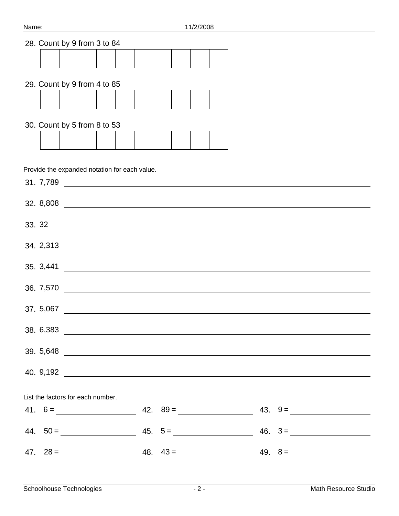## 28. Count by 9 from 3 to 84

## 29. Count by 9 from 4 to 85

## 30. Count by 5 from 8 to 53

Provide the expanded notation for each value.

| $33.32$ $\qquad \qquad$           |  |  |
|-----------------------------------|--|--|
|                                   |  |  |
|                                   |  |  |
|                                   |  |  |
|                                   |  |  |
|                                   |  |  |
|                                   |  |  |
|                                   |  |  |
| List the factors for each number. |  |  |
|                                   |  |  |
|                                   |  |  |
|                                   |  |  |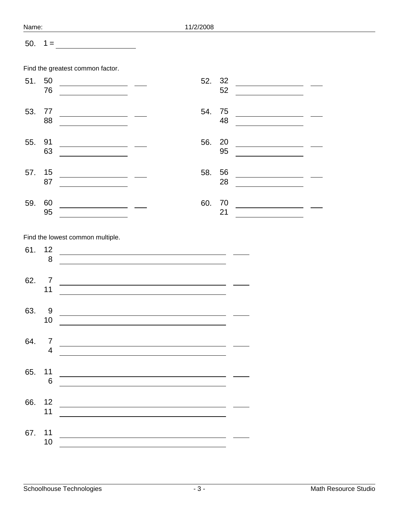| Name: |                      | 11/2/2008                                                                                                                                                                                                                                               |  |
|-------|----------------------|---------------------------------------------------------------------------------------------------------------------------------------------------------------------------------------------------------------------------------------------------------|--|
| 50.   | $1 =$                | <u> 1990 - Johann Barbara, martxa</u>                                                                                                                                                                                                                   |  |
|       |                      | Find the greatest common factor.                                                                                                                                                                                                                        |  |
| 51.   | 50<br>76             | 32<br>52.<br>52<br><u> 1990 - Jan Barbara Barat, politik po</u>                                                                                                                                                                                         |  |
| 53.   | 77<br>88             | 54.<br>75<br><u> 1990 - Johann Marie Barn, mars ar breist ar yn y 1990 - yn y 1990 - yn y 1990 - yn y 1990 - yn y 1990 - yn y 1990 - yn y 1990 - yn y 1990 - yn y 1990 - yn y 1990 - yn y 1990 - yn y 1990 - yn y 1990 - yn y 1990 - yn y 199</u><br>48 |  |
| 55.   | 91<br>63             | 56.<br>20<br>95                                                                                                                                                                                                                                         |  |
| 57.   | 15<br>87             | 58.<br>56<br>28<br><u> 1990 - Johann Barbara, martin a</u><br><u> 1990 - Johann Barbara, martin a</u>                                                                                                                                                   |  |
| 59.   | 60<br>95             | 60.<br>70<br>21                                                                                                                                                                                                                                         |  |
|       |                      | Find the lowest common multiple.                                                                                                                                                                                                                        |  |
| 61.   | 12<br>8              |                                                                                                                                                                                                                                                         |  |
| 62.   | 7<br>11              | <u> 1980 - Johann Barn, mars ann an t-Amhain Aonaich an t-Aonaich an t-Aonaich ann an t-Aonaich ann an t-Aonaich</u>                                                                                                                                    |  |
| 63.   | 9<br>10 <sup>°</sup> |                                                                                                                                                                                                                                                         |  |
| 64.   | $\overline{4}$       | $\begin{array}{c} \mathbf{7} \\ \hline \end{array}$                                                                                                                                                                                                     |  |
| 65.   | 6                    |                                                                                                                                                                                                                                                         |  |
|       | 11                   | 66. 12                                                                                                                                                                                                                                                  |  |
|       | 10                   | 67. $11$                                                                                                                                                                                                                                                |  |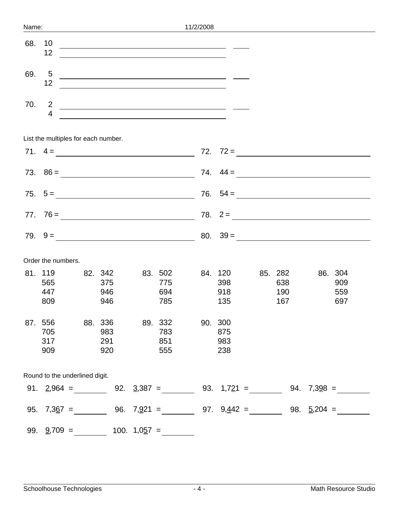| Name: |                                  |                                                            |                                                                                                                  | 11/2/2008 |                              |                              |                                                                      |
|-------|----------------------------------|------------------------------------------------------------|------------------------------------------------------------------------------------------------------------------|-----------|------------------------------|------------------------------|----------------------------------------------------------------------|
| 68.   | 10<br>12                         |                                                            | and the control of the control of the control of the control of the control of the control of the control of the |           |                              |                              |                                                                      |
| 69.   | 5<br>12                          | <u> Alexandria de la contrada de la contrada de la con</u> |                                                                                                                  |           |                              |                              |                                                                      |
| 70.   | $\overline{2}$<br>$\overline{4}$ | <u> 1999 - Johann Barn, fransk politik (d. 1989)</u>       |                                                                                                                  |           |                              |                              |                                                                      |
|       |                                  | List the multiples for each number.                        |                                                                                                                  |           |                              |                              |                                                                      |
|       |                                  |                                                            |                                                                                                                  |           |                              |                              | 71. $4 = \_$                                                         |
|       |                                  |                                                            |                                                                                                                  |           |                              |                              |                                                                      |
|       |                                  |                                                            |                                                                                                                  |           |                              |                              | $75. 5 = \underline{\hspace{1cm}} 76. 54 = \underline{\hspace{1cm}}$ |
|       |                                  |                                                            |                                                                                                                  |           |                              |                              |                                                                      |
|       |                                  |                                                            |                                                                                                                  |           |                              |                              |                                                                      |
|       | Order the numbers.               |                                                            |                                                                                                                  |           |                              |                              |                                                                      |
|       | 81. 119<br>565<br>447<br>809     | 82. 342<br>375<br>946<br>946                               | 83. 502<br>775<br>694<br>785                                                                                     |           | 84. 120<br>398<br>918<br>135 | 85. 282<br>638<br>190<br>167 | 86. 304<br>909<br>559<br>697                                         |

| 87. | 556                            | 88. 336 |     |           | 89. 332 |     | 90. 300       |     |                   |  |
|-----|--------------------------------|---------|-----|-----------|---------|-----|---------------|-----|-------------------|--|
|     | 705                            |         | 983 |           | 783     |     | 875           |     |                   |  |
|     | 317                            |         | 291 |           | 851     |     | 983           |     |                   |  |
|     | 909                            |         | 920 |           | 555     |     | 238           |     |                   |  |
|     |                                |         |     |           |         |     |               |     |                   |  |
|     | Round to the underlined digit. |         |     |           |         |     |               |     |                   |  |
| 91. | $2,964 =$                      |         | 92. | $3,387 =$ |         |     | 93. $1,721 =$ | 94. | $7,398 =$         |  |
|     |                                |         |     |           |         |     |               |     |                   |  |
| 95. | 7,3 <u>6</u> 7<br>$=$          |         | 96. | $7,921 =$ |         | 97. | $9,442 =$     | 98. | $\frac{5}{204}$ = |  |
|     |                                |         |     |           |         |     |               |     |                   |  |

99.  $\frac{9}{709}$  = 100.  $1,057$  =